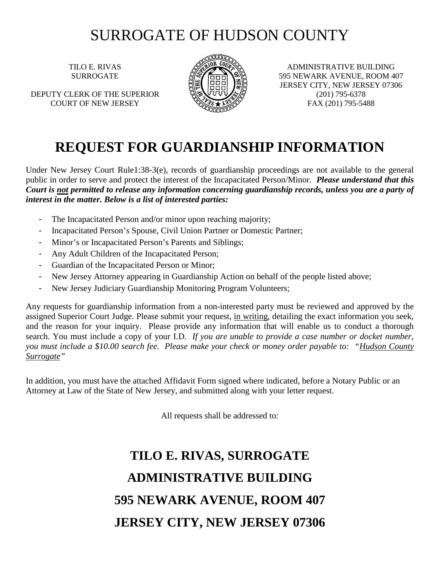## SURROGATE OF HUDSON COUNTY

TILO E. RIVAS SURROGATE

DEPUTY CLERK OF THE SUPERIOR COURT OF NEW JERSEY



ADMINISTRATIVE BUILDING 595 NEWARK AVENUE, ROOM 407 JERSEY CITY, NEW JERSEY 07306 (201) 795-6378 FAX (201) 795-5488

## **REQUEST FOR GUARDIANSHIP INFORMATION**

Under New Jersey Court Rule1:38-3(e), records of guardianship proceedings are not available to the general public in order to serve and protect the interest of the Incapacitated Person/Minor. *Please understand that this Court is not permitted to release any information concerning guardianship records, unless you are a party of interest in the matter. Below is a list of interested parties:* 

- The Incapacitated Person and/or minor upon reaching majority;
- Incapacitated Person's Spouse, Civil Union Partner or Domestic Partner;
- Minor's or Incapacitated Person's Parents and Siblings;
- Any Adult Children of the Incapacitated Person;
- Guardian of the Incapacitated Person or Minor;
- New Jersey Attorney appearing in Guardianship Action on behalf of the people listed above;
- New Jersey Judiciary Guardianship Monitoring Program Volunteers;

Any requests for guardianship information from a non-interested party must be reviewed and approved by the assigned Superior Court Judge. Please submit your request, in writing, detailing the exact information you seek, and the reason for your inquiry. Please provide any information that will enable us to conduct a thorough search. You must include a copy of your I.D. *If you are unable to provide a case number or docket number, you must include a \$10.00 search fee. Please make your check or money order payable to: "Hudson County Surrogate"*

In addition, you must have the attached Affidavit Form signed where indicated, before a Notary Public or an Attorney at Law of the State of New Jersey, and submitted along with your letter request.

All requests shall be addressed to:

## **TILO E. RIVAS, SURROGATE ADMINISTRATIVE BUILDING 595 NEWARK AVENUE, ROOM 407 JERSEY CITY, NEW JERSEY 07306**